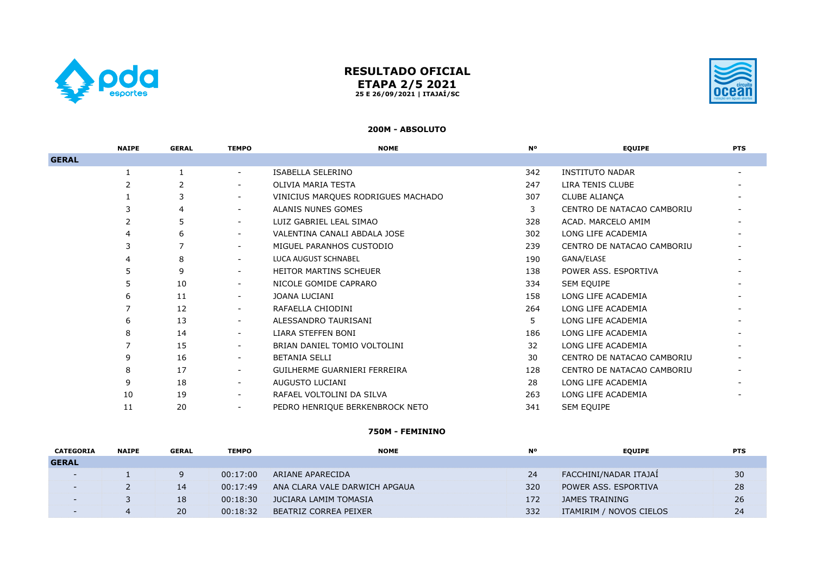

# **RESULTADO OFICIAL ETAPA 2/5 2021 25 E 26/09/2021 | ITAJAÍ/SC**



#### **200M - ABSOLUTO**

|              | <b>NAIPE</b> | <b>GERAL</b> | <b>TEMPO</b>             | <b>NOME</b>                        | <b>N°</b> | <b>EQUIPE</b>              | <b>PTS</b> |
|--------------|--------------|--------------|--------------------------|------------------------------------|-----------|----------------------------|------------|
| <b>GERAL</b> |              |              |                          |                                    |           |                            |            |
|              |              |              | $\overline{\phantom{0}}$ | ISABELLA SELERINO                  | 342       | <b>INSTITUTO NADAR</b>     |            |
|              |              |              |                          | OLIVIA MARIA TESTA                 | 247       | LIRA TENIS CLUBE           |            |
|              |              |              | $\overline{\phantom{0}}$ | VINICIUS MARQUES RODRIGUES MACHADO | 307       | <b>CLUBE ALIANÇA</b>       |            |
|              |              |              | $\overline{\phantom{0}}$ | ALANIS NUNES GOMES                 | 3         | CENTRO DE NATACAO CAMBORIU |            |
|              |              |              | $\overline{\phantom{0}}$ | LUIZ GABRIEL LEAL SIMAO            | 328       | ACAD. MARCELO AMIM         |            |
|              |              |              | $\overline{\phantom{0}}$ | VALENTINA CANALI ABDALA JOSE       | 302       | LONG LIFE ACADEMIA         |            |
|              |              |              | $\overline{\phantom{0}}$ | MIGUEL PARANHOS CUSTODIO           | 239       | CENTRO DE NATACAO CAMBORIU |            |
|              | 4            | 8            | $\overline{\phantom{0}}$ | <b>LUCA AUGUST SCHNABEL</b>        | 190       | GANA/ELASE                 |            |
|              | 5            | 9            | $\overline{\phantom{0}}$ | <b>HEITOR MARTINS SCHEUER</b>      | 138       | POWER ASS, ESPORTIVA       |            |
|              |              | 10           | $\overline{\phantom{0}}$ | NICOLE GOMIDE CAPRARO              | 334       | SEM EQUIPE                 |            |
|              | 6            | 11           | $\overline{\phantom{0}}$ | JOANA LUCIANI                      | 158       | LONG LIFE ACADEMIA         |            |
|              |              | 12           | $\overline{\phantom{a}}$ | RAFAELLA CHIODINI                  | 264       | LONG LIFE ACADEMIA         |            |
|              | 6            | 13           | $\overline{\phantom{0}}$ | ALESSANDRO TAURISANI               | 5         | LONG LIFE ACADEMIA         |            |
|              |              | 14           | $\overline{\phantom{0}}$ | LIARA STEFFEN BONI                 | 186       | LONG LIFE ACADEMIA         |            |
|              |              | 15           | $\overline{\phantom{0}}$ | BRIAN DANIEL TOMIO VOLTOLINI       | 32        | LONG LIFE ACADEMIA         |            |
|              | 9            | 16           | $\overline{\phantom{0}}$ | <b>BETANIA SELLI</b>               | 30        | CENTRO DE NATACAO CAMBORIU |            |
|              | 8            | 17           | $\overline{\phantom{0}}$ | GUILHERME GUARNIERI FERREIRA       | 128       | CENTRO DE NATACAO CAMBORIU |            |
|              | 9            | 18           | $\overline{\phantom{0}}$ | AUGUSTO LUCIANI                    | 28        | LONG LIFE ACADEMIA         |            |
|              | 10           | 19           | $\overline{\phantom{0}}$ | RAFAEL VOLTOLINI DA SILVA          | 263       | LONG LIFE ACADEMIA         |            |
|              | 11           | 20           | $\overline{\phantom{a}}$ | PEDRO HENRIQUE BERKENBROCK NETO    | 341       | SEM EQUIPE                 |            |

### **750M - FEMININO**

| <b>CATEGORIA</b>         | <b>NAIPE</b> | <b>GERAL</b> | <b>TEMPO</b> | <b>NOME</b>                   | <b>N°</b> | <b>EOUIPE</b>           | <b>PTS</b> |
|--------------------------|--------------|--------------|--------------|-------------------------------|-----------|-------------------------|------------|
| <b>GERAL</b>             |              |              |              |                               |           |                         |            |
| $\overline{\phantom{0}}$ |              |              | 00:17:00     | ARIANE APARECIDA              | 24        | FACCHINI/NADAR ITAJAİ   | 30         |
| $\overline{\phantom{0}}$ |              | 14           | 00:17:49     | ANA CLARA VALE DARWICH APGAUA | 320       | POWER ASS. ESPORTIVA    | 28         |
| $\sim$                   |              | 18           | 00:18:30     | JUCIARA LAMIM TOMASIA         | 172       | <b>JAMES TRAINING</b>   | 26         |
|                          |              | 20           | 00:18:32     | BEATRIZ CORREA PEIXER         | 332       | ITAMIRIM / NOVOS CIELOS | 24         |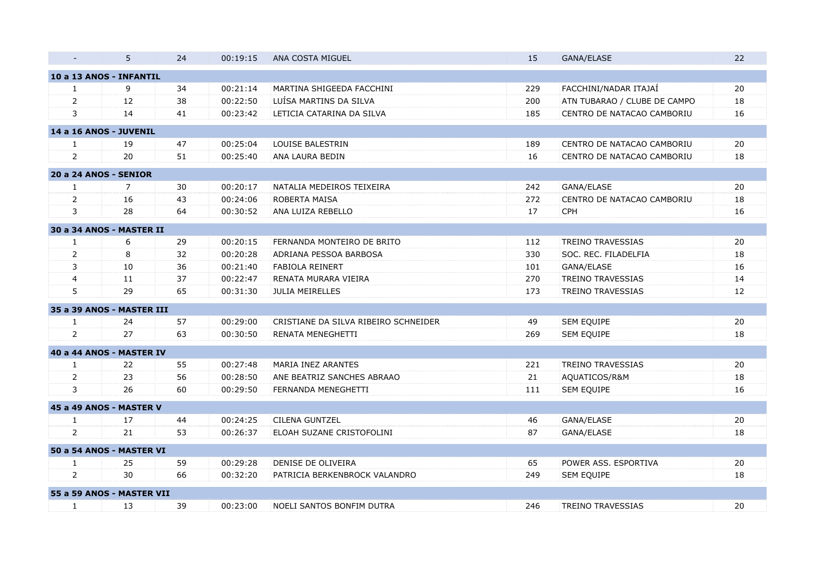| 5                      | 24                   | 00:19:15                                                                                                                                                                                                                 | ANA COSTA MIGUEL                     | 15  | GANA/ELASE                   | 22                                               |
|------------------------|----------------------|--------------------------------------------------------------------------------------------------------------------------------------------------------------------------------------------------------------------------|--------------------------------------|-----|------------------------------|--------------------------------------------------|
|                        |                      |                                                                                                                                                                                                                          |                                      |     |                              |                                                  |
| 9                      | 34                   | 00:21:14                                                                                                                                                                                                                 | MARTINA SHIGEEDA FACCHINI            | 229 | FACCHINI/NADAR ITAJAÍ        | 20                                               |
| 12                     | 38                   | 00:22:50                                                                                                                                                                                                                 | LUÍSA MARTINS DA SILVA               | 200 | ATN TUBARAO / CLUBE DE CAMPO | 18                                               |
| 14                     | 41                   | 00:23:42                                                                                                                                                                                                                 | LETICIA CATARINA DA SILVA            | 185 | CENTRO DE NATACAO CAMBORIU   | 16                                               |
| 14 a 16 ANOS - JUVENIL |                      |                                                                                                                                                                                                                          |                                      |     |                              |                                                  |
| 19                     | 47                   | 00:25:04                                                                                                                                                                                                                 | <b>LOUISE BALESTRIN</b>              | 189 | CENTRO DE NATACAO CAMBORIU   | 20                                               |
| 20                     | 51                   | 00:25:40                                                                                                                                                                                                                 | ANA LAURA BEDIN                      | 16  | CENTRO DE NATACAO CAMBORIU   | 18                                               |
| 20 a 24 ANOS - SENIOR  |                      |                                                                                                                                                                                                                          |                                      |     |                              |                                                  |
| 7                      | 30                   | 00:20:17                                                                                                                                                                                                                 | NATALIA MEDEIROS TEIXEIRA            | 242 |                              | 20                                               |
| 16                     | 43                   | 00:24:06                                                                                                                                                                                                                 | ROBERTA MAISA                        | 272 | CENTRO DE NATACAO CAMBORIU   | 18                                               |
| 28                     | 64                   | 00:30:52                                                                                                                                                                                                                 | ANA LUIZA REBELLO                    | 17  | CPH                          | 16                                               |
|                        |                      |                                                                                                                                                                                                                          |                                      |     |                              |                                                  |
| 6                      |                      | 00:20:15                                                                                                                                                                                                                 | FERNANDA MONTEIRO DE BRITO           | 112 | <b>TREINO TRAVESSIAS</b>     | 20                                               |
| 8                      | 32                   | 00:20:28                                                                                                                                                                                                                 | ADRIANA PESSOA BARBOSA               | 330 | SOC. REC. FILADELFIA         | 18                                               |
| 10                     | 36                   | 00:21:40                                                                                                                                                                                                                 | <b>FABIOLA REINERT</b>               | 101 | GANA/ELASE                   | 16                                               |
| 11                     | 37                   | 00:22:47                                                                                                                                                                                                                 | RENATA MURARA VIEIRA                 | 270 | <b>TREINO TRAVESSIAS</b>     | 14                                               |
| 29                     | 65                   | 00:31:30                                                                                                                                                                                                                 | <b>JULIA MEIRELLES</b>               | 173 | <b>TREINO TRAVESSIAS</b>     | 12                                               |
|                        |                      |                                                                                                                                                                                                                          |                                      |     |                              |                                                  |
| 24                     | 57                   | 00:29:00                                                                                                                                                                                                                 | CRISTIANE DA SILVA RIBEIRO SCHNEIDER | 49  | SEM EQUIPE                   | 20                                               |
| 27                     | 63                   | 00:30:50                                                                                                                                                                                                                 | RENATA MENEGHETTI                    | 269 | SEM EQUIPE                   | 18                                               |
|                        |                      |                                                                                                                                                                                                                          |                                      |     |                              |                                                  |
|                        | 55                   | 00:27:48                                                                                                                                                                                                                 | MARIA INEZ ARANTES                   | 221 | <b>TREINO TRAVESSIAS</b>     | 20                                               |
| 23                     | 56                   | 00:28:50                                                                                                                                                                                                                 | ANE BEATRIZ SANCHES ABRAAO           | 21  | AQUATICOS/R&M                | 18                                               |
| 26                     | 60                   | 00:29:50                                                                                                                                                                                                                 | FERNANDA MENEGHETTI                  | 111 | SEM EQUIPE                   | 16                                               |
|                        |                      |                                                                                                                                                                                                                          |                                      |     |                              |                                                  |
|                        |                      | 00:24:25                                                                                                                                                                                                                 | <b>CILENA GUNTZEL</b>                |     |                              | 20                                               |
| 21                     | 53                   | 00:26:37                                                                                                                                                                                                                 | ELOAH SUZANE CRISTOFOLINI            | 87  | GANA/ELASE                   | 18                                               |
|                        |                      |                                                                                                                                                                                                                          |                                      |     |                              |                                                  |
|                        |                      |                                                                                                                                                                                                                          | DENISE DE OLIVEIRA                   |     |                              | 20                                               |
| 30                     | 66                   | 00:32:20                                                                                                                                                                                                                 | PATRICIA BERKENBROCK VALANDRO        | 249 | SEM EQUIPE                   | 18                                               |
|                        |                      |                                                                                                                                                                                                                          |                                      |     |                              |                                                  |
|                        |                      | 00:23:00                                                                                                                                                                                                                 | NOELI SANTOS BONFIM DUTRA            | 246 | <b>TREINO TRAVESSIAS</b>     | 20                                               |
|                        | 22<br>17<br>25<br>13 | 10 a 13 ANOS - INFANTIL<br>30 a 34 ANOS - MASTER II<br>29<br>35 a 39 ANOS - MASTER III<br>40 a 44 ANOS - MASTER IV<br>45 a 49 ANOS - MASTER V<br>44<br>50 a 54 ANOS - MASTER VI<br>59<br>55 a 59 ANOS - MASTER VII<br>39 | 00:29:28                             |     | 46<br>65                     | GANA/ELASE<br>GANA/ELASE<br>POWER ASS. ESPORTIVA |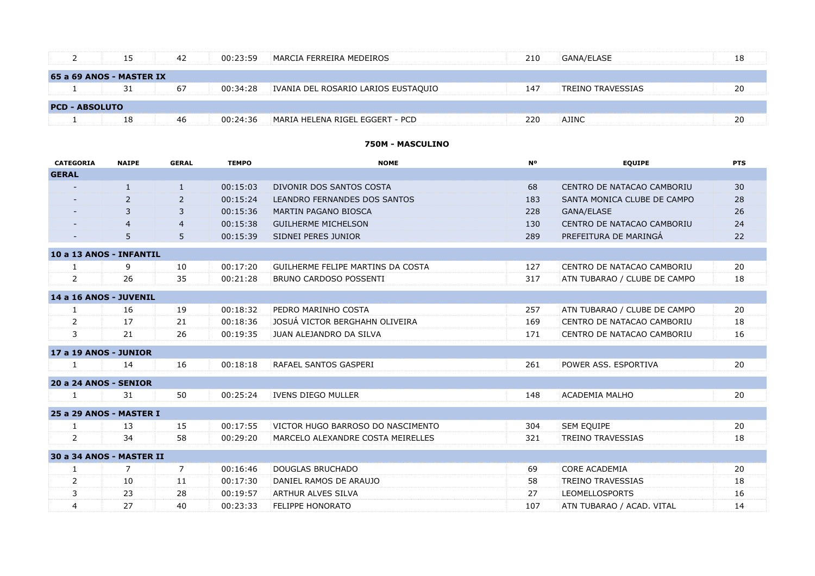|                       | 15                       | 42 | 00:23:59 | MARCIA FERREIRA MEDEIROS            | 210 | GANA/ELASE               | 18 |
|-----------------------|--------------------------|----|----------|-------------------------------------|-----|--------------------------|----|
|                       | 65 a 69 ANOS - MASTER IX |    |          |                                     |     |                          |    |
|                       | 31                       | 67 | 00:34:28 | IVANIA DEL ROSARIO LARIOS EUSTAQUIO | 147 | <b>TREINO TRAVESSIAS</b> | 20 |
| <b>PCD - ABSOLUTO</b> |                          |    |          |                                     |     |                          |    |
|                       | 18                       | 46 | 00:24:36 | MARIA HELENA RIGEL EGGERT - PCD     | 220 | <b>AJINC</b>             | 20 |

# **750M - MASCULINO**

| <b>CATEGORIA</b>         | <b>NAIPE</b> | <b>GERAL</b>   | <b>TEMPO</b> | <b>NOME</b>                       | <b>No</b> | <b>EQUIPE</b>                | <b>PTS</b> |
|--------------------------|--------------|----------------|--------------|-----------------------------------|-----------|------------------------------|------------|
| <b>GERAL</b>             |              |                |              |                                   |           |                              |            |
|                          | $\mathbf{1}$ | $\mathbf{1}$   | 00:15:03     | DIVONIR DOS SANTOS COSTA          | 68        | CENTRO DE NATACAO CAMBORIU   | 30         |
|                          | 2            | $\overline{2}$ | 00:15:24     | LEANDRO FERNANDES DOS SANTOS      | 183       | SANTA MONICA CLUBE DE CAMPO  | 28         |
|                          | 3            | 3              | 00:15:36     | MARTIN PAGANO BIOSCA              | 228       | GANA/ELASE                   | 26         |
|                          | 4            | $\overline{4}$ | 00:15:38     | <b>GUILHERME MICHELSON</b>        | 130       | CENTRO DE NATACAO CAMBORIU   | 24         |
|                          | 5            | 5              | 00:15:39     | SIDNEI PERES JUNIOR               | 289       | PREFEITURA DE MARINGÁ        | 22         |
| 10 a 13 ANOS - INFANTIL  |              |                |              |                                   |           |                              |            |
| 1                        | 9            | 10             | 00:17:20     | GUILHERME FELIPE MARTINS DA COSTA | 127       | CENTRO DE NATACAO CAMBORIU   | 20         |
| $\overline{2}$           | 26           | 35             | 00:21:28     | BRUNO CARDOSO POSSENTI            | 317       | ATN TUBARAO / CLUBE DE CAMPO | 18         |
| 14 a 16 ANOS - JUVENIL   |              |                |              |                                   |           |                              |            |
| 1                        | 16           | 19             | 00:18:32     | PEDRO MARINHO COSTA               | 257       | ATN TUBARAO / CLUBE DE CAMPO | 20         |
| $\overline{2}$           | 17           | 21             | 00:18:36     | JOSUÁ VICTOR BERGHAHN OLIVEIRA    | 169       | CENTRO DE NATACAO CAMBORIU   | 18         |
| 3                        | 21           | 26             | 00:19:35     | JUAN ALEJANDRO DA SILVA           | 171       | CENTRO DE NATACAO CAMBORIU   | 16         |
| 17 a 19 ANOS - JUNIOR    |              |                |              |                                   |           |                              |            |
| $\mathbf{1}$             | 14           | 16             | 00:18:18     | RAFAEL SANTOS GASPERI             | 261       | POWER ASS. ESPORTIVA         | 20         |
| 20 a 24 ANOS - SENIOR    |              |                |              |                                   |           |                              |            |
| 1                        | 31           | 50             | 00:25:24     | <b>IVENS DIEGO MULLER</b>         | 148       | ACADEMIA MALHO               | 20         |
| 25 a 29 ANOS - MASTER I  |              |                |              |                                   |           |                              |            |
| 1                        | 13           | 15             | 00:17:55     | VICTOR HUGO BARROSO DO NASCIMENTO | 304       | <b>SEM EQUIPE</b>            | 20         |
| $\overline{2}$           | 34           | 58             | 00:29:20     | MARCELO ALEXANDRE COSTA MEIRELLES | 321       | <b>TREINO TRAVESSIAS</b>     | 18         |
| 30 a 34 ANOS - MASTER II |              |                |              |                                   |           |                              |            |
| 1                        | 7            | 7              | 00:16:46     | <b>DOUGLAS BRUCHADO</b>           | 69        | <b>CORE ACADEMIA</b>         | 20         |
| $\overline{2}$           | 10           | 11             | 00:17:30     | DANIEL RAMOS DE ARAUJO            | 58        | <b>TREINO TRAVESSIAS</b>     | 18         |
| 3                        | 23           | 28             | 00:19:57     | <b>ARTHUR ALVES SILVA</b>         | 27        | <b>LEOMELLOSPORTS</b>        | 16         |
| 4                        | 27           | 40             | 00:23:33     | <b>FELIPPE HONORATO</b>           | 107       | ATN TUBARAO / ACAD. VITAL    | 14         |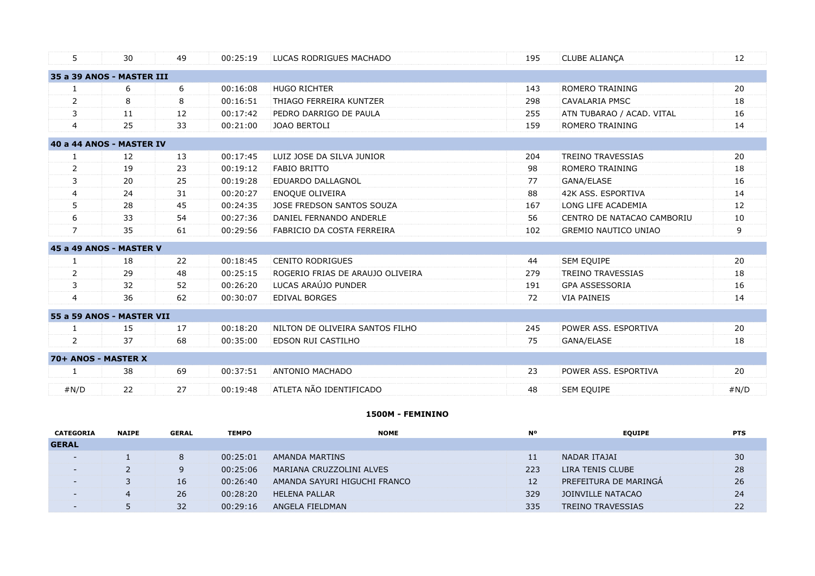| 5                         | 30 | 49 | 00:25:19 | LUCAS RODRIGUES MACHADO          | 195 | CLUBE ALIANÇA               | 12     |
|---------------------------|----|----|----------|----------------------------------|-----|-----------------------------|--------|
| 35 a 39 ANOS - MASTER III |    |    |          |                                  |     |                             |        |
| 1                         | 6  | 6  | 00:16:08 | <b>HUGO RICHTER</b>              | 143 | ROMERO TRAINING             | 20     |
| 2                         | 8  | 8  | 00:16:51 | THIAGO FERREIRA KUNTZER          | 298 | <b>CAVALARIA PMSC</b>       | 18     |
| 3                         | 11 | 12 | 00:17:42 | PEDRO DARRIGO DE PAULA           | 255 | ATN TUBARAO / ACAD. VITAL   | 16     |
| $\overline{4}$            | 25 | 33 | 00:21:00 | <b>JOAO BERTOLI</b>              | 159 | ROMERO TRAINING             | 14     |
| 40 a 44 ANOS - MASTER IV  |    |    |          |                                  |     |                             |        |
| 1                         | 12 | 13 | 00:17:45 | LUIZ JOSE DA SILVA JUNIOR        | 204 | <b>TREINO TRAVESSIAS</b>    | 20     |
| 2                         | 19 | 23 | 00:19:12 | <b>FABIO BRITTO</b>              | 98  | ROMERO TRAINING             | 18     |
| 3                         | 20 | 25 | 00:19:28 | EDUARDO DALLAGNOL                | 77  | GANA/ELASE                  | 16     |
| 4                         | 24 | 31 | 00:20:27 | <b>ENOQUE OLIVEIRA</b>           | 88  | 42K ASS. ESPORTIVA          | 14     |
| 5                         | 28 | 45 | 00:24:35 | JOSE FREDSON SANTOS SOUZA        | 167 | LONG LIFE ACADEMIA          | 12     |
| 6                         | 33 | 54 | 00:27:36 | DANIEL FERNANDO ANDERLE          | 56  | CENTRO DE NATACAO CAMBORIU  | $10\,$ |
| $\overline{7}$            | 35 | 61 | 00:29:56 | FABRICIO DA COSTA FERREIRA       | 102 | <b>GREMIO NAUTICO UNIAO</b> | 9      |
| 45 a 49 ANOS - MASTER V   |    |    |          |                                  |     |                             |        |
| 1                         | 18 | 22 | 00:18:45 | <b>CENITO RODRIGUES</b>          | 44  | SEM EQUIPE                  | 20     |
| 2                         | 29 | 48 | 00:25:15 | ROGERIO FRIAS DE ARAUJO OLIVEIRA | 279 | <b>TREINO TRAVESSIAS</b>    | 18     |
| 3                         | 32 | 52 | 00:26:20 | LUCAS ARAÚJO PUNDER              | 191 | <b>GPA ASSESSORIA</b>       | 16     |
| $\overline{4}$            | 36 | 62 | 00:30:07 | <b>EDIVAL BORGES</b>             | 72  | <b>VIA PAINEIS</b>          | 14     |
| 55 a 59 ANOS - MASTER VII |    |    |          |                                  |     |                             |        |
| 1                         | 15 | 17 | 00:18:20 | NILTON DE OLIVEIRA SANTOS FILHO  | 245 | POWER ASS. ESPORTIVA        | 20     |
| $\overline{2}$            | 37 | 68 | 00:35:00 | EDSON RUI CASTILHO               | 75  | GANA/ELASE                  | 18     |
| 70+ ANOS - MASTER X       |    |    |          |                                  |     |                             |        |
| 1                         | 38 | 69 | 00:37:51 | ANTONIO MACHADO                  | 23  | POWER ASS, ESPORTIVA        | 20     |
| #N/D                      | 22 | 27 | 00:19:48 | ATLETA NÃO IDENTIFICADO          | 48  | <b>SEM EQUIPE</b>           | #N/D   |
|                           |    |    |          |                                  |     |                             |        |

# **1500M - FEMININO**

| <b>CATEGORIA</b>         | <b>NAIPE</b> | <b>GERAL</b> | <b>TEMPO</b> | <b>NOME</b>                  | <b>N°</b> | <b>EQUIPE</b>            | <b>PTS</b> |
|--------------------------|--------------|--------------|--------------|------------------------------|-----------|--------------------------|------------|
| <b>GERAL</b>             |              |              |              |                              |           |                          |            |
| $\overline{\phantom{0}}$ |              |              | 00:25:01     | AMANDA MARTINS               | 11        | NADAR ITAJAI             | 30         |
| $\sim$                   |              |              | 00:25:06     | MARIANA CRUZZOLINI ALVES     | 223       | LIRA TENIS CLUBE         | 28         |
| $\overline{\phantom{0}}$ |              | 16           | 00:26:40     | AMANDA SAYURI HIGUCHI FRANCO | 12        | PREFEITURA DE MARINGA    | 26         |
| $\overline{\phantom{0}}$ | 4            | 26           | 00:28:20     | <b>HELENA PALLAR</b>         | 329       | JOINVILLE NATACAO        | 24         |
| $\overline{\phantom{a}}$ |              | 32           | 00:29:16     | ANGELA FIELDMAN              | 335       | <b>TREINO TRAVESSIAS</b> | 22         |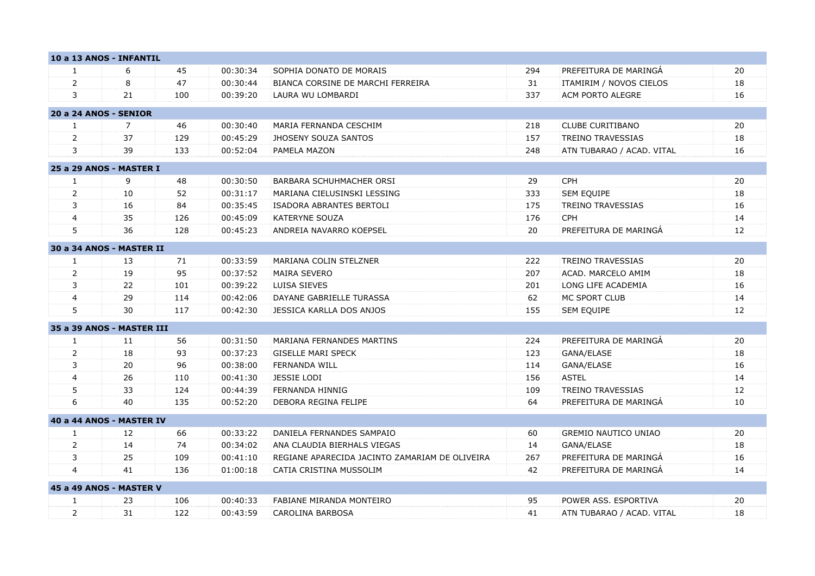|                | 10 a 13 ANOS - INFANTIL   |     |          |                                                |     |                             |    |
|----------------|---------------------------|-----|----------|------------------------------------------------|-----|-----------------------------|----|
| 1              | 6                         | 45  | 00:30:34 | SOPHIA DONATO DE MORAIS                        | 294 | PREFEITURA DE MARINGA       | 20 |
| $\overline{2}$ | 8                         | 47  | 00:30:44 | BIANCA CORSINE DE MARCHI FERREIRA              | 31  | ITAMIRIM / NOVOS CIELOS     | 18 |
| 3              | 21                        | 100 | 00:39:20 | LAURA WU LOMBARDI                              | 337 | ACM PORTO ALEGRE            | 16 |
|                | 20 a 24 ANOS - SENIOR     |     |          |                                                |     |                             |    |
| $\mathbf{1}$   | $\overline{7}$            | 46  | 00:30:40 | MARIA FERNANDA CESCHIM                         | 218 | <b>CLUBE CURITIBANO</b>     | 20 |
| $\overline{2}$ | 37                        | 129 | 00:45:29 | <b>JHOSENY SOUZA SANTOS</b>                    | 157 | <b>TREINO TRAVESSIAS</b>    | 18 |
| 3              | 39                        | 133 | 00:52:04 | PAMELA MAZON                                   | 248 | ATN TUBARAO / ACAD. VITAL   | 16 |
|                | 25 a 29 ANOS - MASTER I   |     |          |                                                |     |                             |    |
| $\mathbf{1}$   | 9                         | 48  | 00:30:50 | BARBARA SCHUHMACHER ORSI                       | 29  | CPH                         | 20 |
| $\overline{2}$ | 10                        | 52  | 00:31:17 | MARIANA CIELUSINSKI LESSING                    | 333 | SEM EQUIPE                  | 18 |
| 3              | 16                        | 84  | 00:35:45 | ISADORA ABRANTES BERTOLI                       | 175 | <b>TREINO TRAVESSIAS</b>    | 16 |
| $\overline{4}$ | 35                        | 126 | 00:45:09 | <b>KATERYNE SOUZA</b>                          | 176 | <b>CPH</b>                  | 14 |
| 5              | 36                        | 128 | 00:45:23 | ANDREIA NAVARRO KOEPSEL                        | 20  | PREFEITURA DE MARINGA       | 12 |
|                | 30 a 34 ANOS - MASTER II  |     |          |                                                |     |                             |    |
| 1              | 13                        | 71  | 00:33:59 | MARIANA COLIN STELZNER                         | 222 | <b>TREINO TRAVESSIAS</b>    | 20 |
| $\overline{2}$ | 19                        | 95  | 00:37:52 | <b>MAIRA SEVERO</b>                            | 207 | ACAD. MARCELO AMIM          | 18 |
| 3              | 22                        | 101 | 00:39:22 | LUISA SIEVES                                   | 201 | LONG LIFE ACADEMIA          | 16 |
| $\overline{4}$ | 29                        | 114 | 00:42:06 | DAYANE GABRIELLE TURASSA                       | 62  | MC SPORT CLUB               | 14 |
| 5              | 30                        | 117 | 00:42:30 | JESSICA KARLLA DOS ANJOS                       | 155 | <b>SEM EQUIPE</b>           | 12 |
|                | 35 a 39 ANOS - MASTER III |     |          |                                                |     |                             |    |
| 1              | 11                        | 56  | 00:31:50 | MARIANA FERNANDES MARTINS                      | 224 | PREFEITURA DE MARINGA       | 20 |
| $\overline{2}$ | 18                        | 93  | 00:37:23 | <b>GISELLE MARI SPECK</b>                      | 123 | GANA/ELASE                  | 18 |
| 3              | 20                        | 96  | 00:38:00 | <b>FERNANDA WILL</b>                           | 114 | GANA/ELASE                  | 16 |
| $\overline{4}$ | 26                        | 110 | 00:41:30 | <b>JESSIE LODI</b>                             | 156 | <b>ASTEL</b>                | 14 |
| 5              | 33                        | 124 | 00:44:39 | FERNANDA HINNIG                                | 109 | <b>TREINO TRAVESSIAS</b>    | 12 |
| 6              | 40                        | 135 | 00:52:20 | DEBORA REGINA FELIPE                           | 64  | PREFEITURA DE MARINGA       | 10 |
|                | 40 a 44 ANOS - MASTER IV  |     |          |                                                |     |                             |    |
| $\mathbf{1}$   | 12                        | 66  | 00:33:22 | DANIELA FERNANDES SAMPAIO                      | 60  | <b>GREMIO NAUTICO UNIAO</b> | 20 |
| $\overline{2}$ | 14                        | 74  | 00:34:02 | ANA CLAUDIA BIERHALS VIEGAS                    | 14  | GANA/ELASE                  | 18 |
| 3              | 25                        | 109 | 00:41:10 | REGIANE APARECIDA JACINTO ZAMARIAM DE OLIVEIRA | 267 | PREFEITURA DE MARINGÁ       | 16 |
| $\overline{4}$ | 41                        | 136 | 01:00:18 | CATIA CRISTINA MUSSOLIM                        | 42  | PREFEITURA DE MARINGÁ       | 14 |
|                | 45 a 49 ANOS - MASTER V   |     |          |                                                |     |                             |    |
| 1              | 23                        | 106 | 00:40:33 | FABIANE MIRANDA MONTEIRO                       | 95  | POWER ASS. ESPORTIVA        | 20 |
| $\overline{2}$ | 31                        | 122 | 00:43:59 | CAROLINA BARBOSA                               | 41  | ATN TUBARAO / ACAD. VITAL   | 18 |
|                |                           |     |          |                                                |     |                             |    |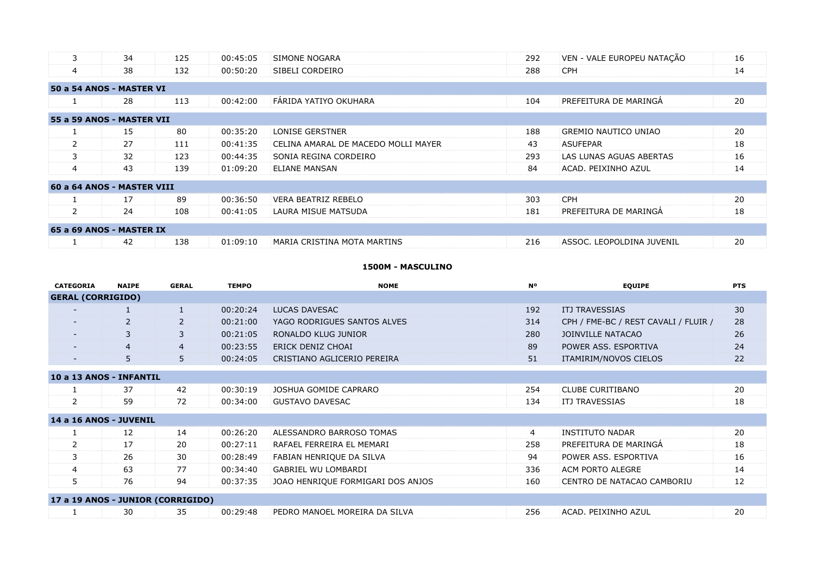| 3              | 34                         | 125 | 00:45:05 | SIMONE NOGARA                       | 292 | VEN - VALE EUROPEU NATAÇÃO | 16 |
|----------------|----------------------------|-----|----------|-------------------------------------|-----|----------------------------|----|
| $\overline{4}$ | 38                         | 132 | 00:50:20 | SIBELI CORDEIRO                     | 288 | <b>CPH</b>                 | 14 |
|                | 50 a 54 ANOS - MASTER VI   |     |          |                                     |     |                            |    |
|                | 28                         | 113 | 00:42:00 | FÁRIDA YATIYO OKUHARA               | 104 | PREFEITURA DE MARINGA      | 20 |
|                | 55 a 59 ANOS - MASTER VII  |     |          |                                     |     |                            |    |
|                | 15                         | 80  | 00:35:20 | <b>LONISE GERSTNER</b>              | 188 | GREMIO NAUTICO UNIAO       | 20 |
| $\mathcal{P}$  | 27                         | 111 | 00:41:35 | CELINA AMARAL DE MACEDO MOLLI MAYER | 43  | <b>ASUFEPAR</b>            | 18 |
| 3              | 32                         | 123 | 00:44:35 | SONIA REGINA CORDEIRO               | 293 | LAS LUNAS AGUAS ABERTAS    | 16 |
| 4              | 43                         | 139 | 01:09:20 | <b>ELIANE MANSAN</b>                | 84  | ACAD. PEIXINHO AZUL        | 14 |
|                | 60 a 64 ANOS - MASTER VIII |     |          |                                     |     |                            |    |
|                | 17                         | 89  | 00:36:50 | <b>VERA BEATRIZ REBELO</b>          | 303 | <b>CPH</b>                 | 20 |
| $\mathbf{2}$   | 24                         | 108 | 00:41:05 | LAURA MISUE MATSUDA                 | 181 | PREFEITURA DE MARINGA      | 18 |
|                | 65 a 69 ANOS - MASTER IX   |     |          |                                     |     |                            |    |
|                | 42                         | 138 | 01:09:10 | MARIA CRISTINA MOTA MARTINS         | 216 | ASSOC. LEOPOLDINA JUVENIL  | 20 |

# **1500M - MASCULINO**

| <b>CATEGORIA</b>                  | <b>NAIPE</b>   | <b>GERAL</b>   | <b>TEMPO</b> | <b>NOME</b>                       | <b>N°</b>      | <b>EQUIPE</b>                        | <b>PTS</b> |
|-----------------------------------|----------------|----------------|--------------|-----------------------------------|----------------|--------------------------------------|------------|
| <b>GERAL (CORRIGIDO)</b>          |                |                |              |                                   |                |                                      |            |
| $\overline{\phantom{0}}$          |                |                | 00:20:24     | LUCAS DAVESAC                     | 192            | <b>ITJ TRAVESSIAS</b>                | 30         |
| $\overline{\phantom{a}}$          | $\overline{2}$ | $\overline{2}$ | 00:21:00     | YAGO RODRIGUES SANTOS ALVES       | 314            | CPH / FME-BC / REST CAVALI / FLUIR / | 28         |
| $\sim$                            | 3              | 3              | 00:21:05     | RONALDO KLUG JUNIOR               | 280            | JOINVILLE NATACAO                    | 26         |
|                                   | $\overline{4}$ | $\overline{4}$ | 00:23:55     | ERICK DENIZ CHOAI                 | 89             | POWER ASS. ESPORTIVA                 | 24         |
| $\overline{\phantom{0}}$          | 5              | 5              | 00:24:05     | CRISTIANO AGLICERIO PEREIRA       | 51             | ITAMIRIM/NOVOS CIELOS                | 22         |
| 10 a 13 ANOS - INFANTIL           |                |                |              |                                   |                |                                      |            |
|                                   | 37             | 42             | 00:30:19     | JOSHUA GOMIDE CAPRARO             | 254            | <b>CLUBE CURITIBANO</b>              | 20         |
| $\overline{2}$                    | 59             | 72             | 00:34:00     | <b>GUSTAVO DAVESAC</b>            | 134            | <b>ITJ TRAVESSIAS</b>                | 18         |
| 14 a 16 ANOS - JUVENIL            |                |                |              |                                   |                |                                      |            |
|                                   | 12             | 14             | 00:26:20     | ALESSANDRO BARROSO TOMAS          | $\overline{4}$ | <b>INSTITUTO NADAR</b>               | 20         |
| $\overline{2}$                    | 17             | 20             | 00:27:11     | RAFAEL FERREIRA EL MEMARI         | 258            | PREFEITURA DE MARINGÁ                | 18         |
| 3                                 | 26             | 30             | 00:28:49     | FABIAN HENRIQUE DA SILVA          | 94             | POWER ASS. ESPORTIVA                 | 16         |
| 4                                 | 63             | 77             | 00:34:40     | <b>GABRIEL WU LOMBARDI</b>        | 336            | ACM PORTO ALEGRE                     | 14         |
| 5                                 | 76             | 94             | 00:37:35     | JOAO HENRIQUE FORMIGARI DOS ANJOS | 160            | CENTRO DE NATACAO CAMBORIU           | 12         |
| 17 a 19 ANOS - JUNIOR (CORRIGIDO) |                |                |              |                                   |                |                                      |            |
|                                   | 30             | 35             | 00:29:48     | PEDRO MANOEL MOREIRA DA SILVA     | 256            | ACAD. PEIXINHO AZUL                  | 20         |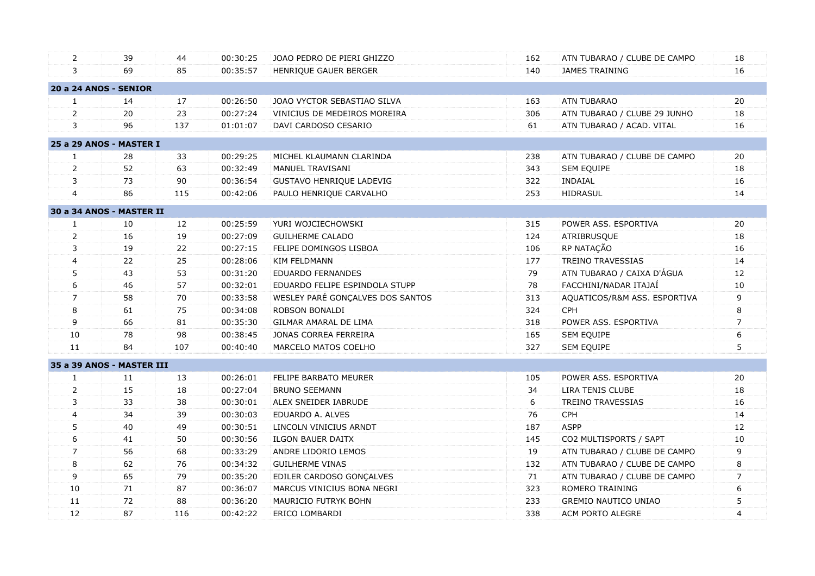| 2              | 39                           | 44  | 00:30:25 | JOAO PEDRO DE PIERI GHIZZO       | 162 | ATN TUBARAO / CLUBE DE CAMPO | 18             |
|----------------|------------------------------|-----|----------|----------------------------------|-----|------------------------------|----------------|
| 3              | 69                           | 85  | 00:35:57 | HENRIQUE GAUER BERGER            | 140 | <b>JAMES TRAINING</b>        | 16             |
|                | <b>20 a 24 ANOS - SENIOR</b> |     |          |                                  |     |                              |                |
| $\mathbf{1}$   | 14                           | 17  | 00:26:50 | JOAO VYCTOR SEBASTIAO SILVA      | 163 | <b>ATN TUBARAO</b>           | 20             |
| $\overline{2}$ | 20                           | 23  | 00:27:24 | VINICIUS DE MEDEIROS MOREIRA     | 306 | ATN TUBARAO / CLUBE 29 JUNHO | 18             |
| 3              | 96                           | 137 | 01:01:07 | DAVI CARDOSO CESARIO             | 61  | ATN TUBARAO / ACAD. VITAL    | 16             |
|                | 25 a 29 ANOS - MASTER I      |     |          |                                  |     |                              |                |
| $\mathbf{1}$   | 28                           | 33  | 00:29:25 | MICHEL KLAUMANN CLARINDA         | 238 | ATN TUBARAO / CLUBE DE CAMPO | 20             |
| $\overline{2}$ | 52                           | 63  | 00:32:49 | MANUEL TRAVISANI                 | 343 | SEM EQUIPE                   | 18             |
| 3              | 73                           | 90  | 00:36:54 | <b>GUSTAVO HENRIQUE LADEVIG</b>  | 322 | <b>INDAIAL</b>               | 16             |
| $\overline{4}$ | 86                           | 115 | 00:42:06 | PAULO HENRIQUE CARVALHO          | 253 | HIDRASUL                     | 14             |
|                | 30 a 34 ANOS - MASTER II     |     |          |                                  |     |                              |                |
| $\mathbf{1}$   | 10                           | 12  | 00:25:59 | YURI WOJCIECHOWSKI               | 315 | POWER ASS. ESPORTIVA         | 20             |
| $\overline{2}$ | 16                           | 19  | 00:27:09 | <b>GUILHERME CALADO</b>          | 124 | ATRIBRUSQUE                  | 18             |
| 3              | 19                           | 22  | 00:27:15 | FELIPE DOMINGOS LISBOA           | 106 | RP NATAÇÃO                   | 16             |
| 4              | 22                           | 25  | 00:28:06 | <b>KIM FELDMANN</b>              | 177 | <b>TREINO TRAVESSIAS</b>     | 14             |
| 5              | 43                           | 53  | 00:31:20 | EDUARDO FERNANDES                | 79  | ATN TUBARAO / CAIXA D'ÁGUA   | 12             |
| 6              | 46                           | 57  | 00:32:01 | EDUARDO FELIPE ESPINDOLA STUPP   | 78  | FACCHINI/NADAR ITAJAÍ        | 10             |
| $\overline{7}$ | 58                           | 70  | 00:33:58 | WESLEY PARÉ GONÇALVES DOS SANTOS | 313 | AQUATICOS/R&M ASS. ESPORTIVA | 9              |
| 8              | 61                           | 75  | 00:34:08 | ROBSON BONALDI                   | 324 | <b>CPH</b>                   | 8              |
| 9              | 66                           | 81  | 00:35:30 | GILMAR AMARAL DE LIMA            | 318 | POWER ASS. ESPORTIVA         | $\overline{7}$ |
| 10             | 78                           | 98  | 00:38:45 | JONAS CORREA FERREIRA            | 165 | SEM EQUIPE                   | 6              |
| 11             | 84                           | 107 | 00:40:40 | MARCELO MATOS COELHO             | 327 | SEM EQUIPE                   | 5              |
|                | 35 a 39 ANOS - MASTER III    |     |          |                                  |     |                              |                |
| 1              | 11                           | 13  | 00:26:01 | FELIPE BARBATO MEURER            | 105 | POWER ASS. ESPORTIVA         | 20             |
| $\overline{2}$ | 15                           | 18  | 00:27:04 | <b>BRUNO SEEMANN</b>             | 34  | LIRA TENIS CLUBE             | 18             |
| 3              | 33                           | 38  | 00:30:01 | ALEX SNEIDER IABRUDE             | 6   | <b>TREINO TRAVESSIAS</b>     | 16             |
| $\overline{4}$ | 34                           | 39  | 00:30:03 | EDUARDO A. ALVES                 | 76  | CPH                          | 14             |
| 5              | 40                           | 49  | 00:30:51 | LINCOLN VINICIUS ARNDT           | 187 | <b>ASPP</b>                  | 12             |
| 6              | 41                           | 50  | 00:30:56 | <b>ILGON BAUER DAITX</b>         | 145 | CO2 MULTISPORTS / SAPT       | 10             |
| $\overline{7}$ | 56                           | 68  | 00:33:29 | ANDRE LIDORIO LEMOS              | 19  | ATN TUBARAO / CLUBE DE CAMPO | 9              |
| 8              | 62                           | 76  | 00:34:32 | <b>GUILHERME VINAS</b>           | 132 | ATN TUBARAO / CLUBE DE CAMPO | 8              |
| 9              | 65                           | 79  | 00:35:20 | EDILER CARDOSO GONÇALVES         | 71  | ATN TUBARAO / CLUBE DE CAMPO | $\overline{7}$ |
| 10             | 71                           | 87  | 00:36:07 | MARCUS VINICIUS BONA NEGRI       | 323 | ROMERO TRAINING              | 6              |
| 11             | 72                           | 88  | 00:36:20 | MAURICIO FUTRYK BOHN             | 233 | <b>GREMIO NAUTICO UNIAO</b>  | 5              |
| 12             | 87                           | 116 | 00:42:22 | ERICO LOMBARDI                   | 338 | ACM PORTO ALEGRE             | $\overline{4}$ |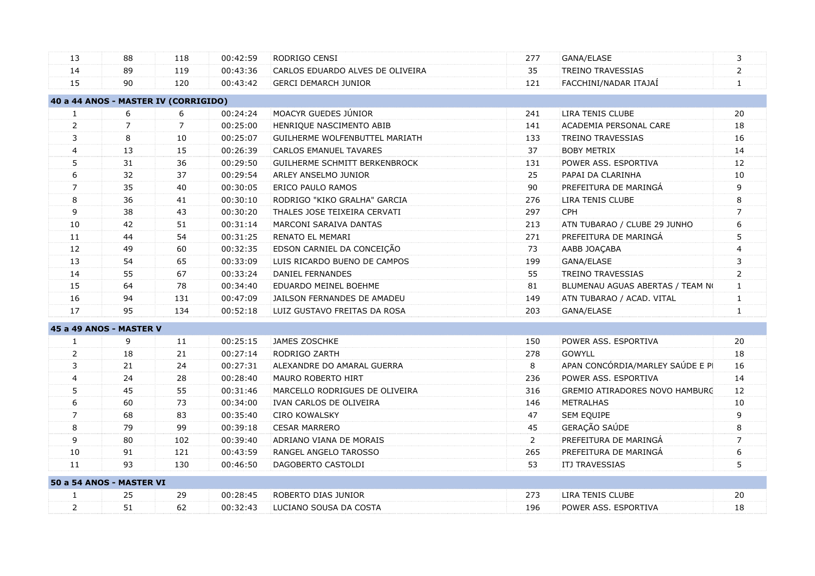| 3                                                |
|--------------------------------------------------|
| $\overline{2}$                                   |
| $\mathbf{1}$                                     |
|                                                  |
| 20                                               |
| 18<br>ACADEMIA PERSONAL CARE                     |
| 16                                               |
| 14                                               |
| 12                                               |
| 10                                               |
| $\overline{9}$                                   |
| 8                                                |
| $\overline{7}$                                   |
| 6<br>ATN TUBARAO / CLUBE 29 JUNHO                |
| 5                                                |
| 4                                                |
| 3                                                |
| $\overline{2}$                                   |
| BLUMENAU AGUAS ABERTAS / TEAM NO<br>$\mathbf{1}$ |
| ATN TUBARAO / ACAD. VITAL<br>$\mathbf{1}$        |
| $\mathbf{1}$                                     |
|                                                  |
| 20                                               |
| 18                                               |
| APAN CONCÓRDIA/MARLEY SAÚDE E PI<br>16           |
| 14                                               |
| 12<br>GREMIO ATIRADORES NOVO HAMBURG             |
| 10                                               |
| 9                                                |
| 8                                                |
| $\overline{7}$                                   |
| 6                                                |
| 5                                                |
|                                                  |
| 20                                               |
| 18                                               |
|                                                  |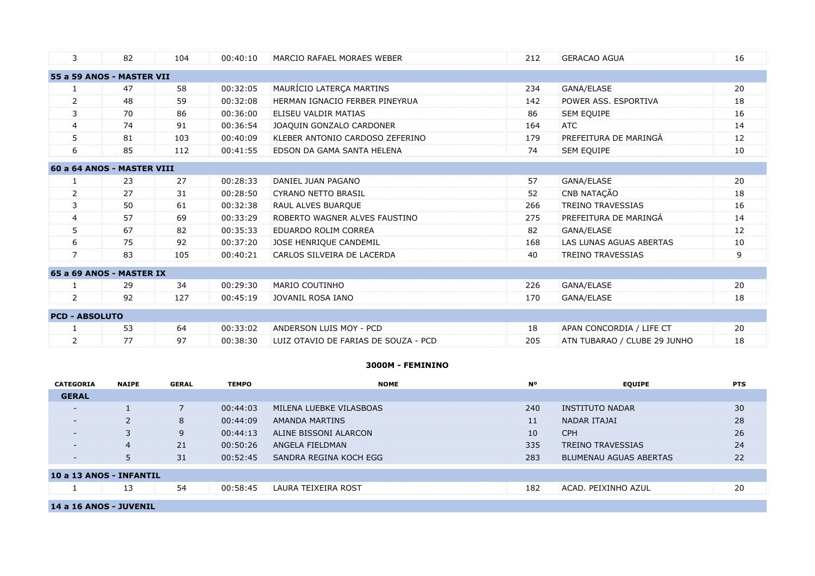| 3                       | 82                         | 104 | 00:40:10 | MARCIO RAFAEL MORAES WEBER           | 212 | <b>GERACAO AGUA</b>          | 16 |
|-------------------------|----------------------------|-----|----------|--------------------------------------|-----|------------------------------|----|
|                         | 55 a 59 ANOS - MASTER VII  |     |          |                                      |     |                              |    |
|                         | 47                         | 58  | 00:32:05 | MAURÍCIO LATERÇA MARTINS             | 234 | GANA/ELASE                   | 20 |
| $\overline{2}$          | 48                         | 59  | 00:32:08 | HERMAN IGNACIO FERBER PINEYRUA       | 142 | POWER ASS. ESPORTIVA         | 18 |
| 3                       | 70                         | 86  | 00:36:00 | ELISEU VALDIR MATIAS                 | 86  | SEM EQUIPE                   | 16 |
| $\overline{\mathbf{4}}$ | 74                         | 91  | 00:36:54 | JOAQUIN GONZALO CARDONER             | 164 | <b>ATC</b>                   | 14 |
| 5                       | 81                         | 103 | 00:40:09 | KLEBER ANTONIO CARDOSO ZEFERINO      | 179 | PREFEITURA DE MARINGÁ        | 12 |
| 6                       | 85                         | 112 | 00:41:55 | EDSON DA GAMA SANTA HELENA           | 74  | <b>SEM EQUIPE</b>            | 10 |
|                         | 60 a 64 ANOS - MASTER VIII |     |          |                                      |     |                              |    |
|                         | 23                         | 27  | 00:28:33 | DANIEL JUAN PAGANO                   | 57  | GANA/ELASE                   | 20 |
| $\overline{2}$          | 27                         | 31  | 00:28:50 | <b>CYRANO NETTO BRASIL</b>           | 52  | CNB NATAÇÃO                  | 18 |
| 3                       | 50                         | 61  | 00:32:38 | RAUL ALVES BUARQUE                   | 266 | <b>TREINO TRAVESSIAS</b>     | 16 |
| 4                       | 57                         | 69  | 00:33:29 | ROBERTO WAGNER ALVES FAUSTINO        | 275 | PREFEITURA DE MARINGÁ        | 14 |
| 5                       | 67                         | 82  | 00:35:33 | EDUARDO ROLIM CORREA                 | 82  | GANA/ELASE                   | 12 |
| 6                       | 75                         | 92  | 00:37:20 | JOSE HENRIQUE CANDEMIL               | 168 | LAS LUNAS AGUAS ABERTAS      | 10 |
| $\overline{7}$          | 83                         | 105 | 00:40:21 | CARLOS SILVEIRA DE LACERDA           | 40  | <b>TREINO TRAVESSIAS</b>     | 9  |
|                         | 65 a 69 ANOS - MASTER IX   |     |          |                                      |     |                              |    |
|                         | 29                         | 34  | 00:29:30 | <b>MARIO COUTINHO</b>                | 226 | GANA/ELASE                   | 20 |
| $\overline{2}$          | 92                         | 127 | 00:45:19 | JOVANIL ROSA IANO                    | 170 | GANA/ELASE                   | 18 |
| <b>PCD - ABSOLUTO</b>   |                            |     |          |                                      |     |                              |    |
|                         | 53                         | 64  | 00:33:02 | ANDERSON LUIS MOY - PCD              | 18  | APAN CONCORDIA / LIFE CT     | 20 |
| 2                       | 77                         | 97  | 00:38:30 | LUIZ OTAVIO DE FARIAS DE SOUZA - PCD | 205 | ATN TUBARAO / CLUBE 29 JUNHO | 18 |

#### **3000M - FEMININO**

| <b>CATEGORIA</b>         | <b>NAIPE</b>   | <b>GERAL</b> | <b>TEMPO</b> | <b>NOME</b>             | <b>No</b> | <b>EQUIPE</b>                 | <b>PTS</b> |
|--------------------------|----------------|--------------|--------------|-------------------------|-----------|-------------------------------|------------|
| <b>GERAL</b>             |                |              |              |                         |           |                               |            |
| $\overline{\phantom{0}}$ |                |              | 00:44:03     | MILENA LUEBKE VILASBOAS | 240       | INSTITUTO NADAR               | 30         |
| $\overline{\phantom{0}}$ | $\overline{2}$ | 8            | 00:44:09     | <b>AMANDA MARTINS</b>   | 11        | NADAR ITAJAI                  | 28         |
| $\overline{\phantom{0}}$ | 3              | 9            | 00:44:13     | ALINE BISSONI ALARCON   | 10        | <b>CPH</b>                    | 26         |
| $\overline{\phantom{a}}$ | $\overline{4}$ | 21           | 00:50:26     | ANGELA FIELDMAN         | 335       | <b>TREINO TRAVESSIAS</b>      | 24         |
|                          | 5              | 31           | 00:52:45     | SANDRA REGINA KOCH EGG  | 283       | <b>BLUMENAU AGUAS ABERTAS</b> | 22         |
| 10 a 13 ANOS - INFANTIL  |                |              |              |                         |           |                               |            |
|                          | 13             | 54           | 00:58:45     | LAURA TEIXEIRA ROST     | 182       | ACAD. PEIXINHO AZUL           | 20         |
| 14 a 16 ANOS - JUVENIL   |                |              |              |                         |           |                               |            |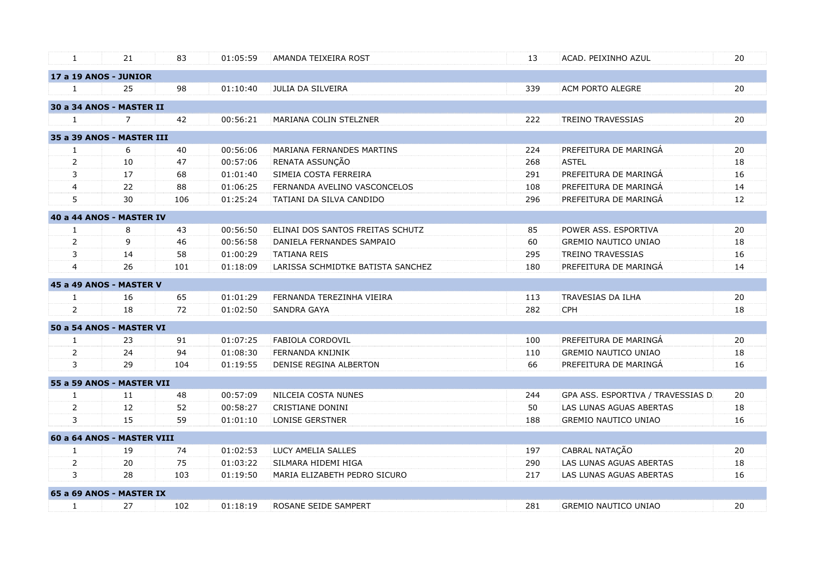| $\mathbf{1}$   | 21                         | 83  | 01:05:59 | AMANDA TEIXEIRA ROST              | 13  | ACAD. PEIXINHO AZUL               | 20 |
|----------------|----------------------------|-----|----------|-----------------------------------|-----|-----------------------------------|----|
|                | 17 a 19 ANOS - JUNIOR      |     |          |                                   |     |                                   |    |
| 1              | 25                         | 98  | 01:10:40 | JULIA DA SILVEIRA                 | 339 | ACM PORTO ALEGRE                  | 20 |
|                | 30 a 34 ANOS - MASTER II   |     |          |                                   |     |                                   |    |
| $\mathbf{1}$   | $\overline{7}$             | 42  | 00:56:21 | MARIANA COLIN STELZNER            | 222 | <b>TREINO TRAVESSIAS</b>          | 20 |
|                | 35 a 39 ANOS - MASTER III  |     |          |                                   |     |                                   |    |
| $\mathbf{1}$   | 6                          | 40  | 00:56:06 | MARIANA FERNANDES MARTINS         | 224 | PREFEITURA DE MARINGÁ             | 20 |
| $\overline{2}$ | 10                         | 47  | 00:57:06 | RENATA ASSUNÇÃO                   | 268 | <b>ASTEL</b>                      | 18 |
| 3              | 17                         | 68  | 01:01:40 | SIMEIA COSTA FERREIRA             | 291 | PREFEITURA DE MARINGÁ             | 16 |
| $\overline{4}$ | 22                         | 88  | 01:06:25 | FERNANDA AVELINO VASCONCELOS      | 108 | PREFEITURA DE MARINGÁ             | 14 |
| 5              | 30                         | 106 | 01:25:24 | TATIANI DA SILVA CANDIDO          | 296 | PREFEITURA DE MARINGÁ             | 12 |
|                | 40 a 44 ANOS - MASTER IV   |     |          |                                   |     |                                   |    |
| $\mathbf{1}$   | 8                          | 43  | 00:56:50 | ELINAI DOS SANTOS FREITAS SCHUTZ  | 85  | POWER ASS, ESPORTIVA              | 20 |
| $\overline{2}$ | 9                          | 46  | 00:56:58 | DANIELA FERNANDES SAMPAIO         | 60  | <b>GREMIO NAUTICO UNIAO</b>       | 18 |
| 3              | 14                         | 58  | 01:00:29 | <b>TATIANA REIS</b>               | 295 | <b>TREINO TRAVESSIAS</b>          | 16 |
| $\overline{4}$ | 26                         | 101 | 01:18:09 | LARISSA SCHMIDTKE BATISTA SANCHEZ | 180 | PREFEITURA DE MARINGÁ             | 14 |
|                | 45 a 49 ANOS - MASTER V    |     |          |                                   |     |                                   |    |
| $\mathbf{1}$   | 16                         | 65  | 01:01:29 | FERNANDA TEREZINHA VIEIRA         | 113 | TRAVESIAS DA ILHA                 | 20 |
| $\overline{2}$ | 18                         | 72  | 01:02:50 | <b>SANDRA GAYA</b>                | 282 | CPH                               | 18 |
|                | 50 a 54 ANOS - MASTER VI   |     |          |                                   |     |                                   |    |
| $\mathbf{1}$   | 23                         | 91  | 01:07:25 | FABIOLA CORDOVIL                  | 100 | PREFEITURA DE MARINGÁ             | 20 |
| 2              | 24                         | 94  | 01:08:30 | FERNANDA KNIJNIK                  | 110 | <b>GREMIO NAUTICO UNIAO</b>       | 18 |
| 3              | 29                         | 104 | 01:19:55 | DENISE REGINA ALBERTON            | 66  | PREFEITURA DE MARINGÁ             | 16 |
|                | 55 a 59 ANOS - MASTER VII  |     |          |                                   |     |                                   |    |
| $\mathbf{1}$   | 11                         | 48  | 00:57:09 | NILCEIA COSTA NUNES               | 244 | GPA ASS. ESPORTIVA / TRAVESSIAS D | 20 |
| 2              | 12                         | 52  | 00:58:27 | <b>CRISTIANE DONINI</b>           | 50  | LAS LUNAS AGUAS ABERTAS           | 18 |
| 3              | 15                         | 59  | 01:01:10 | <b>LONISE GERSTNER</b>            | 188 | <b>GREMIO NAUTICO UNIAO</b>       | 16 |
|                | 60 a 64 ANOS - MASTER VIII |     |          |                                   |     |                                   |    |
| $\mathbf{1}$   | 19                         | 74  | 01:02:53 | LUCY AMELIA SALLES                | 197 | CABRAL NATAÇÃO                    | 20 |
| $\overline{2}$ | 20                         | 75  | 01:03:22 | SILMARA HIDEMI HIGA               | 290 | LAS LUNAS AGUAS ABERTAS           | 18 |
| 3              | 28                         | 103 | 01:19:50 | MARIA ELIZABETH PEDRO SICURO      | 217 | LAS LUNAS AGUAS ABERTAS           | 16 |
|                | 65 a 69 ANOS - MASTER IX   |     |          |                                   |     |                                   |    |
| 1              | 27                         | 102 | 01:18:19 | ROSANE SEIDE SAMPERT              | 281 | <b>GREMIO NAUTICO UNIAO</b>       | 20 |
|                |                            |     |          |                                   |     |                                   |    |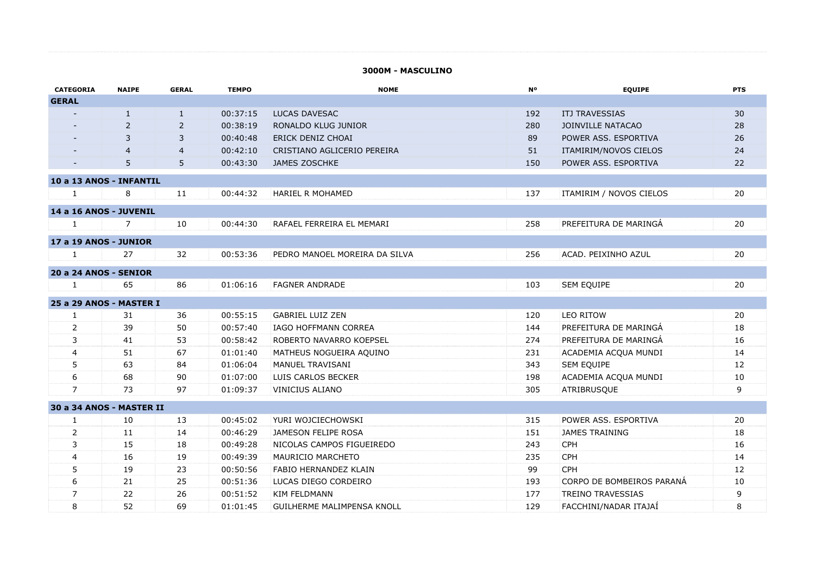#### **3000M - MASCULINO**

| <b>CATEGORIA</b>         | <b>NAIPE</b> | <b>GERAL</b>   | <b>TEMPO</b> | <b>NOME</b>                   | <b>N°</b> | <b>EQUIPE</b>             | <b>PTS</b> |
|--------------------------|--------------|----------------|--------------|-------------------------------|-----------|---------------------------|------------|
| <b>GERAL</b>             |              |                |              |                               |           |                           |            |
|                          | 1            | $\mathbf{1}$   | 00:37:15     | LUCAS DAVESAC                 | 192       | <b>ITJ TRAVESSIAS</b>     | 30         |
|                          | 2            | 2              | 00:38:19     | RONALDO KLUG JUNIOR           | 280       | <b>JOINVILLE NATACAO</b>  | 28         |
|                          | 3            | 3              | 00:40:48     | ERICK DENIZ CHOAI             | 89        | POWER ASS. ESPORTIVA      | 26         |
|                          |              | $\overline{4}$ | 00:42:10     | CRISTIANO AGLICERIO PEREIRA   | 51        | ITAMIRIM/NOVOS CIELOS     | 24         |
|                          | 5            | 5              | 00:43:30     | <b>JAMES ZOSCHKE</b>          | 150       | POWER ASS. ESPORTIVA      | 22         |
| 10 a 13 ANOS - INFANTIL  |              |                |              |                               |           |                           |            |
| $\mathbf{1}$             | 8            | 11             | 00:44:32     | <b>HARIEL R MOHAMED</b>       | 137       | ITAMIRIM / NOVOS CIELOS   | 20         |
|                          |              |                |              |                               |           |                           |            |
| 14 a 16 ANOS - JUVENIL   |              |                |              |                               |           |                           |            |
| $\mathbf{1}$             | 7            | 10             | 00:44:30     | RAFAEL FERREIRA EL MEMARI     | 258       | PREFEITURA DE MARINGÁ     | 20         |
| 17 a 19 ANOS - JUNIOR    |              |                |              |                               |           |                           |            |
| $\mathbf{1}$             | 27           | 32             | 00:53:36     | PEDRO MANOEL MOREIRA DA SILVA | 256       | ACAD. PEIXINHO AZUL       | 20         |
| 20 a 24 ANOS - SENIOR    |              |                |              |                               |           |                           |            |
| $\mathbf{1}$             | 65           | 86             | 01:06:16     | <b>FAGNER ANDRADE</b>         | 103       | <b>SEM EQUIPE</b>         | 20         |
|                          |              |                |              |                               |           |                           |            |
| 25 a 29 ANOS - MASTER I  |              |                |              |                               |           |                           |            |
| $\mathbf{1}$             | 31           | 36             | 00:55:15     | <b>GABRIEL LUIZ ZEN</b>       | 120       | <b>LEO RITOW</b>          | 20         |
| 2                        | 39           | 50             | 00:57:40     | <b>IAGO HOFFMANN CORREA</b>   | 144       | PREFEITURA DE MARINGÁ     | 18         |
| 3                        | 41           | 53             | 00:58:42     | ROBERTO NAVARRO KOEPSEL       | 274       | PREFEITURA DE MARINGA     | 16         |
| $\overline{4}$           | 51           | 67             | 01:01:40     | MATHEUS NOGUEIRA AQUINO       | 231       | ACADEMIA ACQUA MUNDI      | 14         |
| 5                        | 63           | 84             | 01:06:04     | MANUEL TRAVISANI              | 343       | SEM EQUIPE                | 12         |
| 6                        | 68           | 90             | 01:07:00     | LUIS CARLOS BECKER            | 198       | ACADEMIA ACQUA MUNDI      | 10         |
| $\overline{7}$           | 73           | 97             | 01:09:37     | <b>VINICIUS ALIANO</b>        | 305       | ATRIBRUSQUE               | 9          |
| 30 a 34 ANOS - MASTER II |              |                |              |                               |           |                           |            |
| 1                        | 10           | 13             | 00:45:02     | YURI WOJCIECHOWSKI            | 315       | POWER ASS. ESPORTIVA      | 20         |
| 2                        | 11           | 14             | 00:46:29     | JAMESON FELIPE ROSA           | 151       | <b>JAMES TRAINING</b>     | 18         |
| 3                        | 15           | 18             | 00:49:28     | NICOLAS CAMPOS FIGUEIREDO     | 243       | <b>CPH</b>                | 16         |
| 4                        | 16           | 19             | 00:49:39     | MAURICIO MARCHETO             | 235       | CPH                       | 14         |
| 5                        | 19           | 23             | 00:50:56     | FABIO HERNANDEZ KLAIN         | 99        | CPH                       | 12         |
| 6                        | 21           | 25             | 00:51:36     | LUCAS DIEGO CORDEIRO          | 193       | CORPO DE BOMBEIROS PARANÁ | 10         |
| $\overline{7}$           | 22           | 26             | 00:51:52     | <b>KIM FELDMANN</b>           | 177       | <b>TREINO TRAVESSIAS</b>  | 9          |
| 8                        | 52           | 69             | 01:01:45     | GUILHERME MALIMPENSA KNOLL    | 129       | FACCHINI/NADAR ITAJAÍ     | 8          |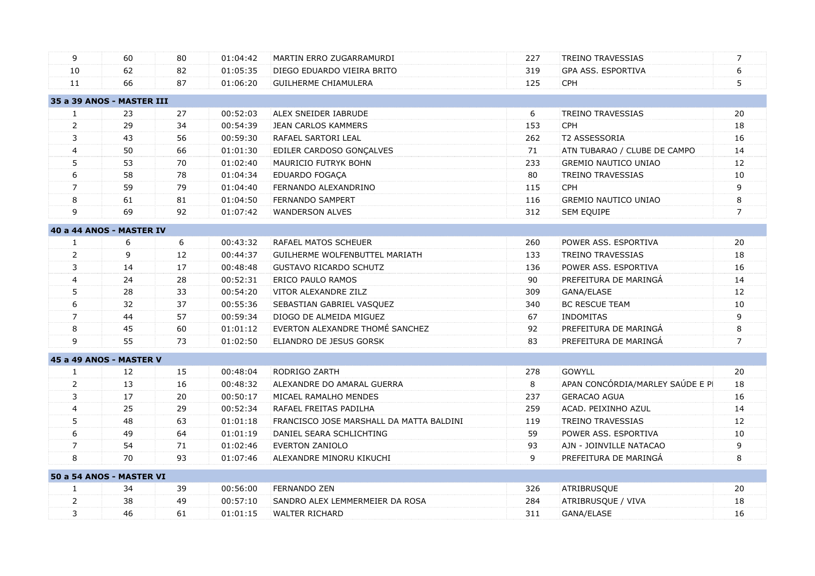| 9              | 60                        | 80 | 01:04:42 | MARTIN ERRO ZUGARRAMURDI                 | 227 | <b>TREINO TRAVESSIAS</b>         | 7              |  |
|----------------|---------------------------|----|----------|------------------------------------------|-----|----------------------------------|----------------|--|
| 10             | 62                        | 82 | 01:05:35 | DIEGO EDUARDO VIEIRA BRITO               | 319 | GPA ASS. ESPORTIVA               | 6              |  |
| 11             | 66                        | 87 | 01:06:20 | <b>GUILHERME CHIAMULERA</b>              | 125 | <b>CPH</b>                       | 5              |  |
|                | 35 a 39 ANOS - MASTER III |    |          |                                          |     |                                  |                |  |
| $\mathbf{1}$   | 23                        | 27 | 00:52:03 | ALEX SNEIDER IABRUDE                     | 6   | <b>TREINO TRAVESSIAS</b>         | 20             |  |
| $\overline{2}$ | 29                        | 34 | 00:54:39 | <b>JEAN CARLOS KAMMERS</b>               | 153 | <b>CPH</b>                       | 18             |  |
| 3              | 43                        | 56 | 00:59:30 | RAFAEL SARTORI LEAL                      | 262 | T2 ASSESSORIA                    | 16             |  |
| $\overline{4}$ | 50                        | 66 | 01:01:30 | EDILER CARDOSO GONÇALVES                 | 71  | ATN TUBARAO / CLUBE DE CAMPO     | 14             |  |
| 5              | 53                        | 70 | 01:02:40 | MAURICIO FUTRYK BOHN                     | 233 | <b>GREMIO NAUTICO UNIAO</b>      | 12             |  |
| 6              | 58                        | 78 | 01:04:34 | EDUARDO FOGAÇA                           | 80  | <b>TREINO TRAVESSIAS</b>         | 10             |  |
| $\overline{7}$ | 59                        | 79 | 01:04:40 | FERNANDO ALEXANDRINO                     | 115 | <b>CPH</b>                       | 9              |  |
| 8              | 61                        | 81 | 01:04:50 | FERNANDO SAMPERT                         | 116 | <b>GREMIO NAUTICO UNIAO</b>      | 8              |  |
| 9              | 69                        | 92 | 01:07:42 | <b>WANDERSON ALVES</b>                   | 312 | SEM EQUIPE                       | $\overline{7}$ |  |
|                | 40 a 44 ANOS - MASTER IV  |    |          |                                          |     |                                  |                |  |
| $\mathbf{1}$   | 6                         | 6  | 00:43:32 | <b>RAFAEL MATOS SCHEUER</b>              | 260 | POWER ASS. ESPORTIVA             | 20             |  |
| $\overline{2}$ | 9                         | 12 | 00:44:37 | GUILHERME WOLFENBUTTEL MARIATH           | 133 | <b>TREINO TRAVESSIAS</b>         | 18             |  |
| 3              | 14                        | 17 | 00:48:48 | <b>GUSTAVO RICARDO SCHUTZ</b>            | 136 | POWER ASS. ESPORTIVA             | 16             |  |
| $\overline{4}$ | 24                        | 28 | 00:52:31 | <b>ERICO PAULO RAMOS</b>                 | 90  | PREFEITURA DE MARINGÁ            | 14             |  |
| 5              | 28                        | 33 | 00:54:20 | VITOR ALEXANDRE ZILZ                     | 309 | GANA/ELASE                       | 12             |  |
| 6              | 32                        | 37 | 00:55:36 | SEBASTIAN GABRIEL VASQUEZ                | 340 | <b>BC RESCUE TEAM</b>            | 10             |  |
| $\overline{7}$ | 44                        | 57 | 00:59:34 | DIOGO DE ALMEIDA MIGUEZ                  | 67  | <b>INDOMITAS</b>                 | 9              |  |
| 8              | 45                        | 60 | 01:01:12 | EVERTON ALEXANDRE THOMÉ SANCHEZ          | 92  | PREFEITURA DE MARINGÁ            | 8              |  |
| 9              | 55                        | 73 | 01:02:50 | ELIANDRO DE JESUS GORSK                  | 83  | PREFEITURA DE MARINGA            | $\overline{7}$ |  |
|                | 45 a 49 ANOS - MASTER V   |    |          |                                          |     |                                  |                |  |
| $\mathbf{1}$   | 12                        | 15 | 00:48:04 | RODRIGO ZARTH                            | 278 | <b>GOWYLL</b>                    | 20             |  |
| $\overline{2}$ | 13                        | 16 | 00:48:32 | ALEXANDRE DO AMARAL GUERRA               | 8   | APAN CONCÓRDIA/MARLEY SAÚDE E PI | 18             |  |
| 3              | 17                        | 20 | 00:50:17 | MICAEL RAMALHO MENDES                    | 237 | <b>GERACAO AGUA</b>              | 16             |  |
| 4              | 25                        | 29 | 00:52:34 | RAFAEL FREITAS PADILHA                   | 259 | ACAD. PEIXINHO AZUL              | 14             |  |
| 5              | 48                        | 63 | 01:01:18 | FRANCISCO JOSE MARSHALL DA MATTA BALDINI | 119 | <b>TREINO TRAVESSIAS</b>         | 12             |  |
| 6              | 49                        | 64 | 01:01:19 | DANIEL SEARA SCHLICHTING                 | 59  | POWER ASS. ESPORTIVA             | $10\,$         |  |
| $\overline{7}$ | 54                        | 71 | 01:02:46 | <b>EVERTON ZANIOLO</b>                   | 93  | AJN - JOINVILLE NATACAO          | 9              |  |
| 8              | 70                        | 93 | 01:07:46 | ALEXANDRE MINORU KIKUCHI                 | 9   | PREFEITURA DE MARINGÁ            | 8              |  |
|                | 50 a 54 ANOS - MASTER VI  |    |          |                                          |     |                                  |                |  |
| $\mathbf{1}$   | 34                        | 39 | 00:56:00 | <b>FERNANDO ZEN</b>                      | 326 | ATRIBRUSQUE                      | 20             |  |
| $\overline{2}$ | 38                        | 49 | 00:57:10 | SANDRO ALEX LEMMERMEIER DA ROSA          | 284 | ATRIBRUSQUE / VIVA               | 18             |  |
| 3              | 46                        | 61 | 01:01:15 | <b>WALTER RICHARD</b>                    | 311 | GANA/ELASE                       | 16             |  |
|                |                           |    |          |                                          |     |                                  |                |  |